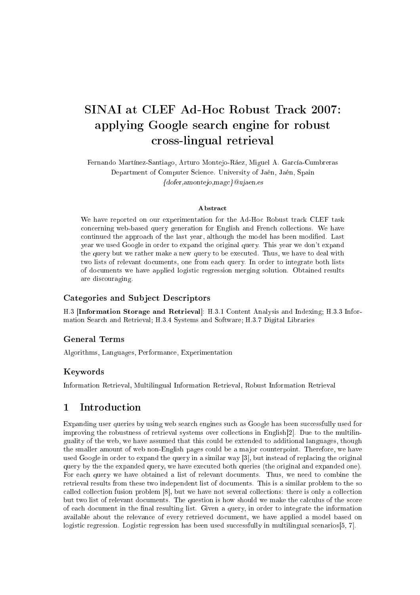# SINAI at CLEF Ad-Hoc Robust Track 2007: applying Google sear
h engine for robust ross-lingual retrieval

Fernando Martínez-Santiago, Arturo Montejo-Ráez, Miguel A. Gar
ía-Cumbreras Department of Computer Science. University of Jaén, Jaén, Spain  ${dofer, amontejo, magc}$ @ujaen.es

### **Abstract**

We have reported on our experimentation for the Ad-Hoc Robust track CLEF task concerning web-based query generation for English and French collections. We have continued the approach of the last year, although the model has been modified. Last year we used Google in order to expand the original query. This year we don't expand the query but we rather make a new query to be executed. Thus, we have to deal with two lists of relevant documents, one from each query. In order to integrate both lists of documents we have applied logistic regression merging solution. Obtained results are dis
ouraging.

### Categories and Sub je
t Des
riptors

H.3 [Information Storage and Retrieval]: H.3.1 Content Analysis and Indexing; H.3.3 Information Sear
h and Retrieval; H.3.4 Systems and Software; H.3.7 Digital Libraries

### **General Terms**

Algorithms, Languages, Performan
e, Experimentation

### Keywords

Information Retrieval, Multilingual Information Retrieval, Robust Information Retrieval

#### $\mathbf{1}$ **Introduction**

Expanding user queries by using web search engines such as Google has been successfully used for improving the robustness of retrieval systems over collections in English $[2]$ . Due to the multilinguality of the web, we have assumed that this ould be extended to additional languages, though the smaller amount of web non-English pages could be a major counterpoint. Therefore, we have used Google in order to expand the query in a similar way  $[3]$ , but instead of replacing the original query by the the expanded query, we have exe
uted both queries (the original and expanded one). For each query we have obtained a list of relevant documents. Thus, we need to combine the retrieval results from these two independent list of do
uments. This is a similar problem to the so called collection fusion problem [8], but we have not several collections: there is only a collection but two list of relevant documents. The question is how should we make the calculus of the score of each document in the final resulting list. Given a query, in order to integrate the information available about the relevan
e of every retrieved do
ument, we have applied a model based on logistic regression. Logistic regression has been used successfully in multilingual scenarios [5, 7].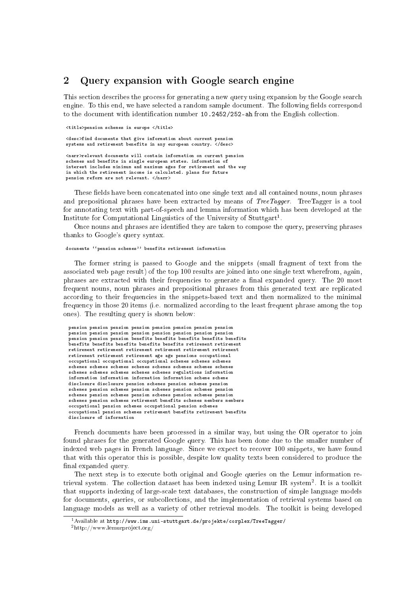#### $\overline{2}$ Query expansion with Google search engine

This section describes the process for generating a new query using expansion by the Google search engine. To this end, we have selected a random sample document. The following fields correspond to the document with identification number 10.2452/252-ah from the English collection.

<title>pension s
hemes in europe </title>

uments that give information about the contract of the contract of the contract of the contract of the contract of the contract of the contract of the contract of the contract of the contract of the contract of the contrac systems and retirement benefits in any european ountry. </des
>

-relevant distances will contain information in the case pension and benefits in single european states. information of interest in
ludes minimum and maximum ages for retirement and the way in whi
h the retirement in
ome is al
ulated. plans for future pension reform are not relevant. </narr>

These fields have been concatenated into one single text and all contained nouns, noun phrases and prepositional phrases have been extracted by means of *TreeTagger*. TreeTagger is a tool for annotating text with part-of-spee
h and lemma information whi
h has been developed at the Institute for Computational Linguistics of the University of Stuttgart-.

Once nouns and phrases are identified they are taken to compose the query, preserving phrases thanks to Google's query syntax.

### do
uments ``pension s
hemes'' benefits retirement information

The former string is passed to Google and the snippets (small fragment of text from the asso
iated web page result) of the top 100 results are joined into one single text wherefrom, again, phrases are extracted with their frequencies to generate a final expanded query. The 20 most frequent nouns, noun phrases and prepositional phrases from this generated text are repli
ated according to their frequencies in the snippets-based text and then normalized to the minimal frequency in those 20 items (i.e. normalized according to the least frequent phrase among the top ones). The resulting query is shown below:

pension pension pension pension pension pension pension pension pension pension pension pension pension pension pension pension pension pension pension benefits benefits benefits benefits benefits retirement retirement retirement age age pensions o

upational o

upational o

upational o

upational s
hemes s
hemes s
hemes s
hemes s
hemes s
hemes s
hemes s
hemes regulations information information information information information scheme scheme dis
losure dis
losure pension s
hemes pension s
hemes pension s
hemes pension s
hemes pension s
hemes pension s
hemes pension s
hemes pension s
hemes pension s
hemes pension s
hemes pension s
hemes pension s
hemes retirement benefits s
hemes members members o

upational pension s
hemes o

upational pension s
hemes o

upational pension s
hemes retirement benefits retirement benefits

French documents have been processed in a similar way, but using the OR operator to join found phrases for the generated Google query. This has been done due to the smaller number of indexed web pages in Fren
h language. Sin
e we expe
t to re
over 100 snippets, we have found that with this operator this is possible, despite low quality texts been onsidered to produ
e the final expanded query.

The next step is to execute both original and Google queries on the Lemur information retrieval system. The collection dataset has been indexed using Lemur IR system". It is a toolkit that supports indexing of large-s
ale text databases, the onstru
tion of simple language models for documents, queries, or subcollections, and the implementation of retrieval systems based on language models as well as a variety of other retrieval models. The toolkit is being developed

 $^1$  Available at <code>http://www.ims.uni-stuttgart.de/projekte/corplex/TreeTagger/</code>

<sup>2</sup> http://www.lemurpro je
t.org/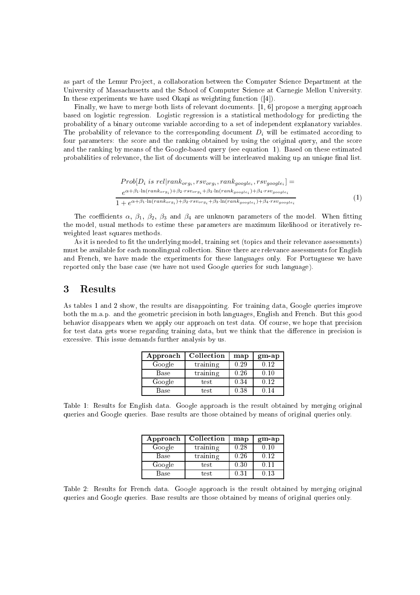as part of the Lemur Project, a collaboration between the Computer Science Department at the University of Massa
husetts and the S
hool of Computer S
ien
e at Carnegie Mellon University. In these experiments we have used Okapi as weighting function ([4]).

Finally, we have to merge both lists of relevant documents. [1, 6] propose a merging approach based on logistic regression. Logistic regression is a statistical methodology for predicting the probability of a binary outcome variable according to a set of independent explanatory variables. The probability of relevance to the corresponding document  $D_i$  will be estimated according to four parameters: the s
ore and the ranking obtained by using the original query, and the s
ore and the ranking by means of the Google-based query (see equation 1). Based on these estimated probabilities of relevance, the list of documents will be interleaved making up an unique final list.

$$
Prob[D_i \text{ is } rel | rank_{org_i}, \text{rsv}_{org_i}, \text{rank}_{google_i}, \text{rsv}_{google_i}] =
$$
\n
$$
\frac{e^{\alpha + \beta_1 \cdot \ln(\text{rank}_{org_i}) + \beta_2 \cdot \text{rsv}_{org_i} + \beta_3 \cdot \ln(\text{rank}_{google_i}) + \beta_4 \cdot \text{rsv}_{google_i}}}{1 + e^{\alpha + \beta_1 \cdot \ln(\text{rank}_{org_i}) + \beta_2 \cdot \text{rsv}_{org_i} + \beta_3 \cdot \ln(\text{rank}_{google_i}) + \beta_4 \cdot \text{rsv}_{google_i}}}
$$
\n
$$
(1)
$$

The coefficients  $\alpha$ ,  $\beta_1$ ,  $\beta_2$ ,  $\beta_3$  and  $\beta_4$  are unknown parameters of the model. When fitting the model, usual methods to estime these parameters are maximum likelihood or iteratively reweighted least squares methods.

As it is needed to fit the underlying model, training set (topics and their relevance assessments) must be available for each monolingual collection. Since there are relevance assessments for English and Fren
h, we have made the experiments for these languages only. For Portuguese we have reported only the base case (we have not used Google queries for such language).

#### 3 **Results**

As tables 1 and 2 show, the results are disappointing. For training data, Google queries improve both the m.a.p. and the geometric precision in both languages, English and French. But this good behavior disappears when we apply our approach on test data. Of course, we hope that precision for test data gets worse regarding training data, but we think that the difference in precision is excessive. This issue demands further analysis by us.

| Approach | Collection | map  | $gm$ -ap |
|----------|------------|------|----------|
| Google   | training   | 0.29 | 0.12     |
| Base     | training   | 0.26 | 0.10     |
| Google   | test       | 0.34 | 0.12     |
| Base     | test       | 0.38 | 14       |

Table 1: Results for English data. Google approach is the result obtained by merging original queries and Google queries. Base results are those obtained by means of original queries only.

| Approach    | Collection | map  | $gm$ -ap |
|-------------|------------|------|----------|
| Google      | training   | 0.28 | 0.10     |
| <b>Base</b> | training   | 0.26 | 0.12     |
| Google      | test       | 0.30 | 0.11     |
| Base        | test       | 0.31 | 0.13     |

Table 2: Results for French data. Google approach is the result obtained by merging original queries and Google queries. Base results are those obtained by means of original queries only.